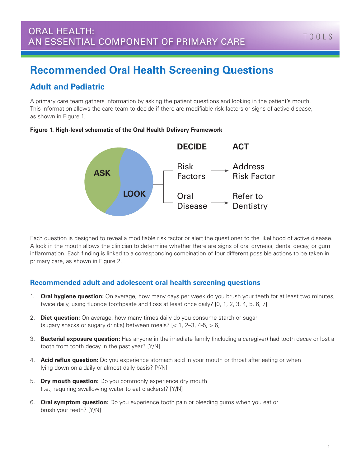# **Recommended Oral Health Screening Questions**

# **Adult and Pediatric**

A primary care team gathers information by asking the patient questions and looking in the patient's mouth. This information allows the care team to decide if there are modifiable risk factors or signs of active disease, as shown in Figure 1.

### **Figure 1. High-level schematic of the Oral Health Delivery Framework**



Each question is designed to reveal a modifiable risk factor or alert the questioner to the likelihood of active disease. A look in the mouth allows the clinician to determine whether there are signs of oral dryness, dental decay, or gum inflammation. Each finding is linked to a corresponding combination of four different possible actions to be taken in primary care, as shown in Figure 2.

## **Recommended adult and adolescent oral health screening questions**

- 1. **Oral hygiene question:** On average, how many days per week do you brush your teeth for at least two minutes, twice daily, using fluoride toothpaste and floss at least once daily? [0, 1, 2, 3, 4, 5, 6, 7]
- 2. **Diet question:** On average, how many times daily do you consume starch or sugar (sugary snacks or sugary drinks) between meals?  $[$  < 1, 2–3, 4-5,  $> 6$ ]
- 3. **Bacterial exposure question:** Has anyone in the imediate family (including a caregiver) had tooth decay or lost a tooth from tooth decay in the past year? [Y/N]
- 4. **Acid reflux question:** Do you experience stomach acid in your mouth or throat after eating or when lying down on a daily or almost daily basis? [Y/N]
- 5. **Dry mouth question:** Do you commonly experience dry mouth (i.e., requiring swallowing water to eat crackers)? [Y/N]
- 6. **Oral symptom question:** Do you experience tooth pain or bleeding gums when you eat or brush your teeth? [Y/N]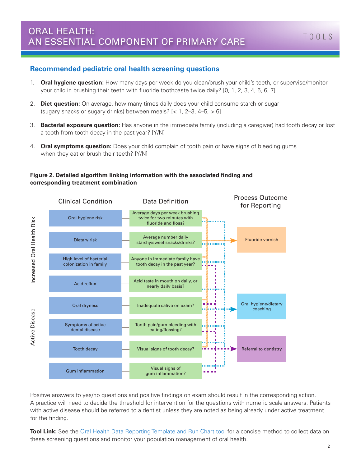## **Recommended pediatric oral health screening questions**

- 1. **Oral hygiene question:** How many days per week do you clean/brush your child's teeth, or supervise/monitor your child in brushing their teeth with fluoride toothpaste twice daily? [0, 1, 2, 3, 4, 5, 6, 7]
- 2. **Diet question:** On average, how many times daily does your child consume starch or sugar (sugary snacks or sugary drinks) between meals?  $\left[$  < 1, 2–3, 4–5,  $>$  6 $\right]$
- 3. **Bacterial exposure question:** Has anyone in the immediate family (including a caregiver) had tooth decay or lost a tooth from tooth decay in the past year? [Y/N]
- 4. **Oral symptoms question:** Does your child complain of tooth pain or have signs of bleeding gums when they eat or brush their teeth? [Y/N]

#### **Figure 2. Detailed algorithm linking information with the associated finding and corresponding treatment combination**



Positive answers to yes/no questions and positive findings on exam should result in the corresponding action. A practice will need to decide the threshold for intervention for the questions with numeric scale answers. Patients with active disease should be referred to a dentist unless they are noted as being already under active treatment for the finding.

**Tool Link:** See the [Oral Health Data Reporting Template and Run Chart tool](http://www.safetynetmedicalhome.org/sites/default/files/Oral-Health-Data-Reporting-Template-Run-Chart.xlsx) for a concise method to collect data on